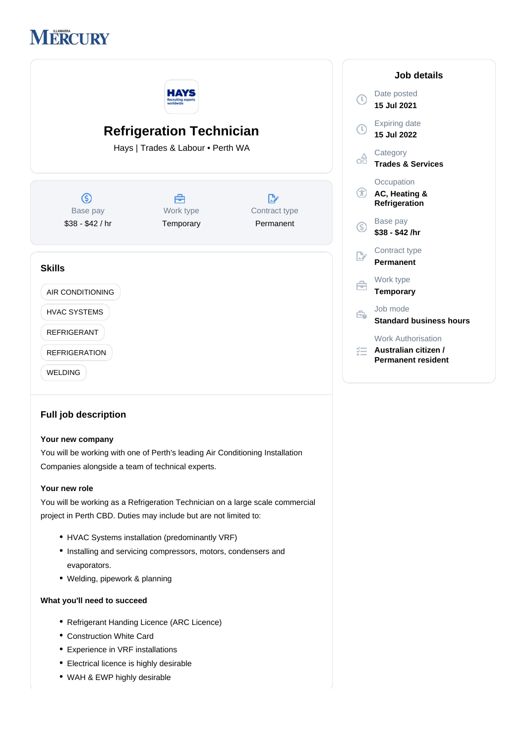

|                                                                      | НА<br><b>Recruiting expert</b><br>worldwide |                     | D<br>Œ<br>$\ddagger$          |
|----------------------------------------------------------------------|---------------------------------------------|---------------------|-------------------------------|
| <b>Refrigeration Technician</b><br>Hays   Trades & Labour . Perth WA |                                             |                     | E<br>$\ddot{\mathbf{1}}$<br>œ |
| ك<br>Base pay                                                        | 合<br>Work type                              | D,<br>Contract type | т<br>Œ<br>A<br>R              |
| \$38 - \$42 / hr                                                     | Temporary                                   | Permanent           | B<br>G)<br>\$                 |
| <b>Skills</b>                                                        |                                             |                     | P                             |
| AIR CONDITIONING                                                     |                                             |                     | т                             |
| <b>HVAC SYSTEMS</b>                                                  |                                             |                     | J)<br>Êò<br>S                 |
| <b>REFRIGERANT</b><br><b>REFRIGERATION</b><br><b>WELDING</b>         |                                             |                     | W<br>辷<br>A<br>P              |

# **Full job description**

#### **Your new company**

You will be working with one of Perth's leading Air Conditioning Installation Companies alongside a team of technical experts.

#### **Your new role**

You will be working as a Refrigeration Technician on a large scale commercial project in Perth CBD. Duties may include but are not limited to:

- HVAC Systems installation (predominantly VRF)
- Installing and servicing compressors, motors, condensers and evaporators.
- Welding, pipework & planning

### **What you'll need to succeed**

- Refrigerant Handing Licence (ARC Licence)
- Construction White Card
- Experience in VRF installations
- Electrical licence is highly desirable
- WAH & EWP highly desirable